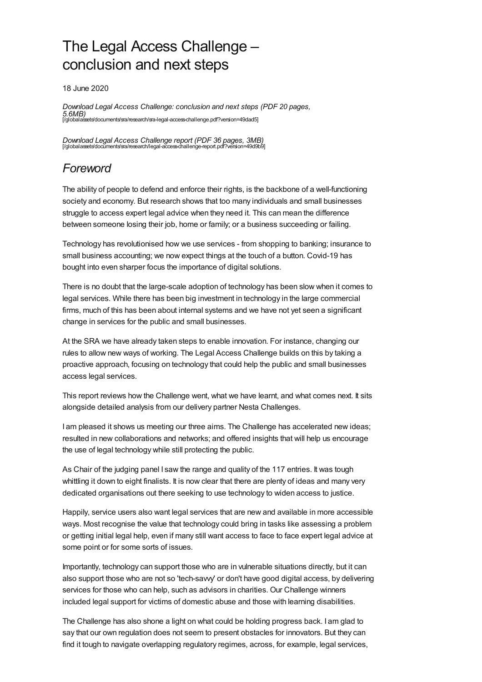# The Legal Access Challenge – conclusion and next steps

18 June 2020

*Download Legal Access Challenge: conclusion and next steps (PDF 20 pages, 5.6MB)* [\[/globalassets/documents/sra/research/sra-legal-access-challenge.pdf?version=49dad5\]](https://www.sra.org.uk/globalassets/documents/sra/research/sra-legal-access-challenge.pdf?version=49dad5)

*Download Legal Access Challenge report (PDF 36 pages, 3MB)* [\[/globalassets/documents/sra/research/legal-access-challenge-report.pdf?version=49d9b9\]](https://www.sra.org.uk/globalassets/documents/sra/research/legal-access-challenge-report.pdf?version=49d9b9)

## *Foreword*

The ability of people to defend and enforce their rights, is the backbone of a well-functioning society and economy. But research shows that too many individuals and small businesses struggle to access expert legal advice when they need it. This can mean the difference between someone losing their job, home or family; or a business succeeding or failing.

Technology has revolutionised how we use services - from shopping to banking; insurance to small business accounting; we now expect things at the touch of a button. Covid-19 has bought into even sharper focus the importance of digital solutions.

There is no doubt that the large-scale adoption of technology has been slow when it comes to legal services. While there has been big investment in technology in the large commercial firms, much of this has been about internal systems and we have not yet seen a significant change in services for the public and small businesses.

At the SRA we have already taken steps to enable innovation. For instance, changing our rules to allow new ways of working. The Legal Access Challenge builds on this by taking a proactive approach, focusing on technology that could help the public and small businesses access legal services.

This report reviews how the Challenge went, what we have learnt, and what comes next. It sits alongside detailed analysis from our delivery partner Nesta Challenges.

I am pleased it shows us meeting our three aims. The Challenge has accelerated new ideas; resulted in new collaborations and networks; and offered insights that will help us encourage the use of legal technology while still protecting the public.

As Chair of the judging panel I saw the range and quality of the 117 entries. It was tough whittling it down to eight finalists. It is now clear that there are plenty of ideas and many very dedicated organisations out there seeking to use technology to widen access to justice.

Happily, service users also want legal services that are new and available in more accessible ways. Most recognise the value that technology could bring in tasks like assessing a problem or getting initial legal help, even if many still want access to face to face expert legal advice at some point or for some sorts of issues.

Importantly, technology can support those who are in vulnerable situations directly, but it can also support those who are not so 'tech-savvy' or don't have good digital access, by delivering services for those who can help, such as advisors in charities. Our Challenge winners included legal support for victims of domestic abuse and those with learning disabilities.

The Challenge has also shone a light on what could be holding progress back. I am glad to say that our own regulation does not seem to present obstacles for innovators. But they can find it tough to navigate overlapping regulatory regimes, across, for example, legal services,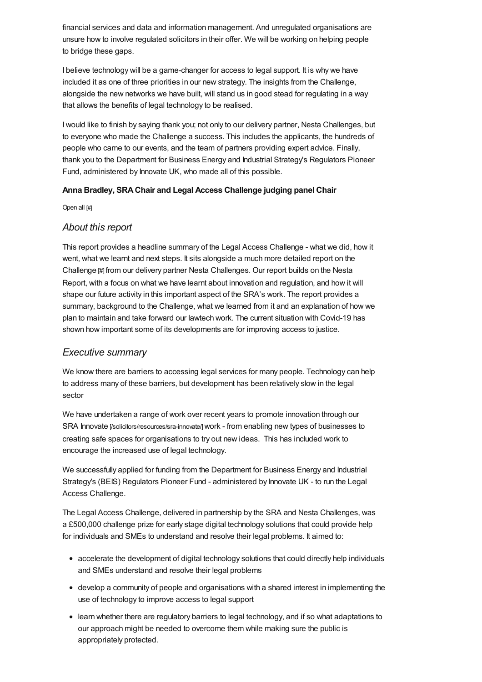financial services and data and information management. And unregulated organisations are unsure how to involve regulated solicitors in their offer. We will be working on helping people to bridge these gaps.

I believe technology will be a game-changer for access to legal support. It is why we have included it as one of three priorities in our new strategy. The insights from the Challenge, alongside the new networks we have built, will stand us in good stead for regulating in a way that allows the benefits of legal technology to be realised.

Iwould like to finish by saying thank you; not only to our delivery partner, Nesta Challenges, but to everyone who made the Challenge a success. This includes the applicants, the hundreds of people who came to our events, and the team of partners providing expert advice. Finally, thank you to the Department for Business Energy and Industrial Strategy's Regulators Pioneer Fund, administered by Innovate UK, who made all of this possible.

#### **Anna Bradley, SRAChair and Legal Access Challenge judging panel Chair**

Open all [#]

#### *[About](#page-1-0) this report*

<span id="page-1-0"></span>This report provides a headline summary of the Legal Access Challenge - what we did, how it went, what we learnt and next steps. It sits alongside a much more detailed report on the Challenge [#] from our delivery partner Nesta Challenges. Our report builds on the Nesta Report, with a focus on what we have learnt about innovation and regulation, and how it will shape our future activity in this important aspect of the SRA's work. The report provides a summary, background to the Challenge, what we learned from it and an explanation of how we plan to maintain and take forward our lawtech work. The current situation with Covid-19 has shown how important some of its developments are for improving access to justice.

### *[Executive](#page-2-0) summary*

We know there are barriers to accessing legal services for many people. Technology can help to address many of these barriers, but development has been relatively slow in the legal sector

We have undertaken a range of work over recent years to promote innovation through our SRA Innovate [\[/solicitors/resources/sra-innovate/\]](https://www.sra.org.uk/solicitors/resources/sra-innovate/)work - from enabling new types of businesses to creating safe spaces for organisations to try out new ideas. This has included work to encourage the increased use of legal technology.

We successfully applied for funding from the Department for Business Energy and Industrial Strategy's (BEIS) Regulators Pioneer Fund - administered by Innovate UK - to run the Legal Access Challenge.

The Legal Access Challenge, delivered in partnership by the SRA and Nesta Challenges, was a £500,000 challenge prize for early stage digital technology solutions that could provide help for individuals and SMEs to understand and resolve their legal problems. It aimed to:

- accelerate the development of digital technology solutions that could directly help individuals and SMEs understand and resolve their legal problems
- develop a community of people and organisations with a shared interest in implementing the use of technology to improve access to legal support
- learn whether there are regulatory barriers to legal technology, and if so what adaptations to our approach might be needed to overcome them while making sure the public is appropriately protected.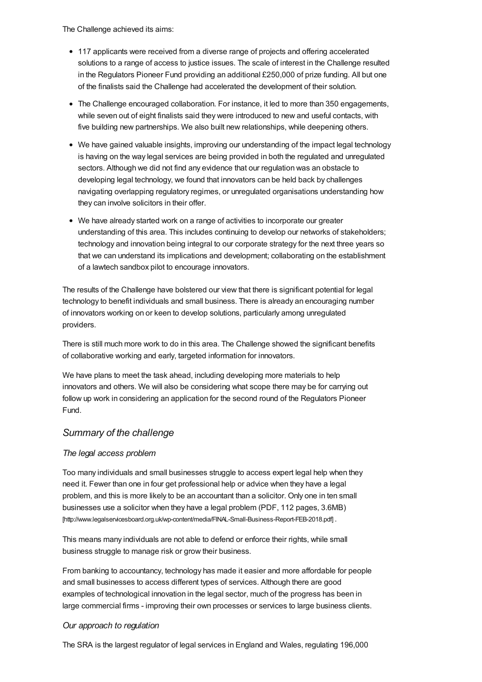<span id="page-2-0"></span>The Challenge achieved its aims:

- 117 applicants were received from a diverse range of projects and offering accelerated solutions to a range of access to justice issues. The scale of interest in the Challenge resulted in the Regulators Pioneer Fund providing an additional £250,000 of prize funding. All but one of the finalists said the Challenge had accelerated the development of their solution.
- The Challenge encouraged collaboration. For instance, it led to more than 350 engagements, while seven out of eight finalists said they were introduced to new and useful contacts, with five building new partnerships. We also built new relationships, while deepening others.
- We have gained valuable insights, improving our understanding of the impact legal technology is having on the way legal services are being provided in both the regulated and unregulated sectors. Although we did not find any evidence that our regulation was an obstacle to developing legal technology, we found that innovators can be held back by challenges navigating overlapping regulatory regimes, or unregulated organisations understanding how they can involve solicitors in their offer.
- We have already started work on a range of activities to incorporate our greater understanding of this area. This includes continuing to develop our networks of stakeholders; technology and innovation being integral to our corporate strategy for the next three years so that we can understand its implications and development; collaborating on the establishment of a lawtech sandbox pilot to encourage innovators.

The results of the Challenge have bolstered our view that there is significant potential for legal technology to benefit individuals and small business. There is already an encouraging number of innovators working on or keen to develop solutions, particularly among unregulated providers.

There is still much more work to do in this area. The Challenge showed the significant benefits of collaborative working and early, targeted information for innovators.

We have plans to meet the task ahead, including developing more materials to help innovators and others. We will also be considering what scope there may be for carrying out follow up work in considering an application for the second round of the Regulators Pioneer Fund.

### *[Summary](#page-5-0) of the challenge*

#### *The legal access problem*

Too many individuals and small businesses struggle to access expert legal help when they need it. Fewer than one in four get professional help or advice when they have a legal problem, and this is more likely to be an accountant than a solicitor. Only one in ten small businesses use a solicitor when they have a legal problem (PDF, 112 pages, 3.6MB) [\[http://www.legalservicesboard.org.uk/wp-content/media/FINAL-Small-Business-Report-FEB-2018.pdf\]](http://www.legalservicesboard.org.uk/wp-content/media/FINAL-Small-Business-Report-FEB-2018.pdf) .

This means many individuals are not able to defend or enforce their rights, while small business struggle to manage risk or grow their business.

From banking to accountancy, technology has made it easier and more affordable for people and small businesses to access different types of services. Although there are good examples of technological innovation in the legal sector, much of the progress has been in large commercial firms - improving their own processes or services to large business clients.

#### *Our approach to regulation*

The SRA is the largest regulator of legal services in England and Wales, regulating 196,000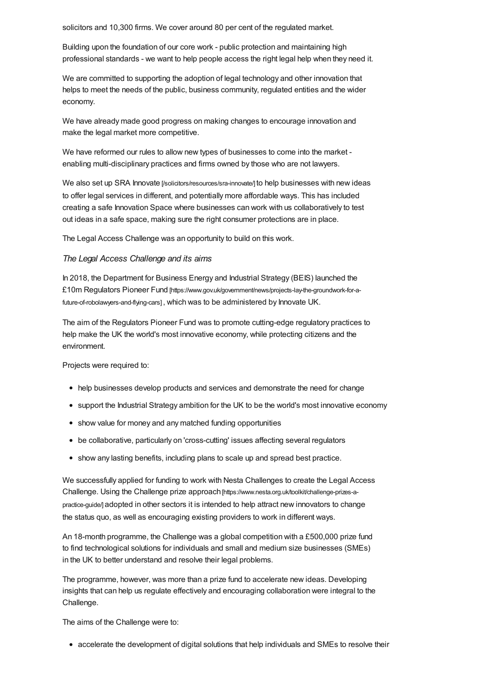solicitors and 10,300 firms. We cover around 80 per cent of the regulated market.

Building upon the foundation of our core work - public protection and maintaining high professional standards - we want to help people access the right legal help when they need it.

We are committed to supporting the adoption of legal technology and other innovation that helps to meet the needs of the public, business community, regulated entities and the wider economy.

We have already made good progress on making changes to encourage innovation and make the legal market more competitive.

We have reformed our rules to allow new types of businesses to come into the market enabling multi-disciplinary practices and firms owned by those who are not lawyers.

We also set up SRA Innovate [\[/solicitors/resources/sra-innovate/\]](https://www.sra.org.uk/solicitors/resources/sra-innovate/) to help businesses with new ideas to offer legal services in different, and potentially more affordable ways. This has included creating a safe Innovation Space where businesses can work with us collaboratively to test out ideas in a safe space, making sure the right consumer protections are in place.

The Legal Access Challenge was an opportunity to build on this work.

#### *The Legal Access Challenge and its aims*

In 2018, the Department for Business Energy and Industrial Strategy (BEIS) launched the £10m Regulators Pioneer Fund [\[https://www.gov.uk/government/news/projects-lay-the-groundwork-for-a](https://www.gov.uk/government/news/projects-lay-the-groundwork-for-a-future-of-robolawyers-and-flying-cars)future-of-robolawyers-and-flying-cars] , which was to be administered by Innovate UK.

The aim of the Regulators Pioneer Fund was to promote cutting-edge regulatory practices to help make the UK the world's most innovative economy, while protecting citizens and the environment.

Projects were required to:

- help businesses develop products and services and demonstrate the need for change
- support the Industrial Strategy ambition for the UK to be the world's most innovative economy
- show value for money and any matched funding opportunities
- be collaborative, particularly on 'cross-cutting' issues affecting several regulators
- show any lasting benefits, including plans to scale up and spread best practice.

We successfully applied for funding to work with Nesta Challenges to create the Legal Access Challenge. Using the Challenge prize approach [\[https://www.nesta.org.uk/toolkit/challenge-prizes-a](https://www.nesta.org.uk/toolkit/challenge-prizes-a-practice-guide/)practice-guide/] adopted in other sectors it is intended to help attract new innovators to change the status quo, as well as encouraging existing providers to work in different ways.

An 18-month programme, the Challenge was a global competition with a £500,000 prize fund to find technological solutions for individuals and small and medium size businesses (SMEs) in the UK to better understand and resolve their legal problems.

The programme, however, was more than a prize fund to accelerate new ideas. Developing insights that can help us regulate effectively and encouraging collaboration were integral to the Challenge.

The aims of the Challenge were to:

accelerate the development of digital solutions that help individuals and SMEs to resolve their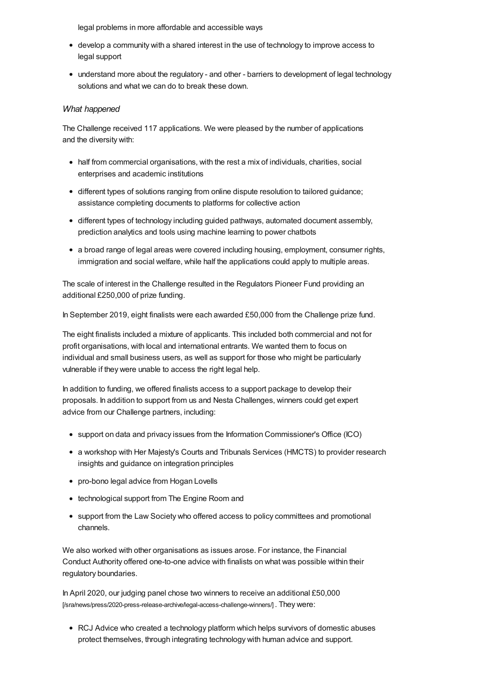legal problems in more affordable and accessible ways

- develop a community with a shared interest in the use of technology to improve access to legal support
- understand more about the regulatory and other barriers to development of legal technology solutions and what we can do to break these down.

#### *What happened*

The Challenge received 117 applications. We were pleased by the number of applications and the diversity with:

- half from commercial organisations, with the rest a mix of individuals, charities, social enterprises and academic institutions
- different types of solutions ranging from online dispute resolution to tailored guidance; assistance completing documents to platforms for collective action
- different types of technology including guided pathways, automated document assembly, prediction analytics and tools using machine learning to power chatbots
- a broad range of legal areas were covered including housing, employment, consumer rights, immigration and social welfare, while half the applications could apply to multiple areas.

The scale of interest in the Challenge resulted in the Regulators Pioneer Fund providing an additional £250,000 of prize funding.

In September 2019, eight finalists were each awarded £50,000 from the Challenge prize fund.

The eight finalists included a mixture of applicants. This included both commercial and not for profit organisations, with local and international entrants. We wanted them to focus on individual and small business users, as well as support for those who might be particularly vulnerable if they were unable to access the right legal help.

In addition to funding, we offered finalists access to a support package to develop their proposals. In addition to support from us and Nesta Challenges, winners could get expert advice from our Challenge partners, including:

- support on data and privacy issues from the Information Commissioner's Office (ICO)
- a workshop with Her Majesty's Courts and Tribunals Services (HMCTS) to provider research insights and guidance on integration principles
- pro-bono legal advice from Hogan Lovells
- technological support from The Engine Room and
- support from the Law Society who offered access to policy committees and promotional channels.

We also worked with other organisations as issues arose. For instance, the Financial Conduct Authority offered one-to-one advice with finalists on what was possible within their regulatory boundaries.

In April 2020, our judging panel chose two winners to receive an additional £50,000 [\[/sra/news/press/2020-press-release-archive/legal-access-challenge-winners/\]](https://www.sra.org.uk/sra/news/press/2020-press-release-archive/legal-access-challenge-winners/). They were:

RCJ Advice who created a technology platform which helps survivors of domestic abuses protect themselves, through integrating technology with human advice and support.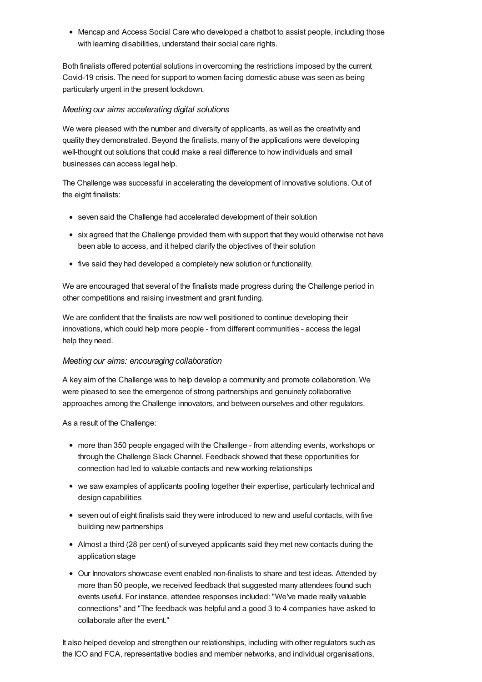<span id="page-5-0"></span>• Mencap and Access Social Care who developed a chatbot to assist people, including those with learning disabilities, understand their social care rights.

Both finalists offered potential solutions in overcoming the restrictions imposed by the current Covid-19 crisis. The need for support to women facing domestic abuse was seen as being particularly urgent in the present lockdown.

#### *Meeting our aims accelerating digital solutions*

We were pleased with the number and diversity of applicants, as well as the creativity and quality they demonstrated. Beyond the finalists, many of the applications were developing well-thought out solutions that could make a real difference to how individuals and small businesses can access legal help.

The Challenge was successful in accelerating the development of innovative solutions. Out of the eight finalists:

- seven said the Challenge had accelerated development of their solution
- six agreed that the Challenge provided them with support that they would otherwise not have been able to access, and it helped clarify the objectives of their solution
- five said they had developed a completely new solution or functionality.

We are encouraged that several of the finalists made progress during the Challenge period in other competitions and raising investment and grant funding.

We are confident that the finalists are now well positioned to continue developing their innovations, which could help more people - from different communities - access the legal help they need.

#### *Meeting our aims: encouraging collaboration*

A key aim of the Challenge was to help develop a community and promote collaboration. We were pleased to see the emergence of strong partnerships and genuinely collaborative approaches among the Challenge innovators, and between ourselves and other regulators.

As a result of the Challenge:

- more than 350 people engaged with the Challenge from attending events, workshops or through the Challenge Slack Channel. Feedback showed that these opportunities for connection had led to valuable contacts and new working relationships
- we saw examples of applicants pooling together their expertise, particularly technical and design capabilities
- seven out of eight finalists said they were introduced to new and useful contacts, with five building new partnerships
- Almost a third (28 per cent) of surveyed applicants said they met new contacts during the application stage
- Our Innovators showcase event enabled non-finalists to share and test ideas. Attended by more than 50 people, we received feedback that suggested many attendees found such events useful. For instance, attendee responses included: "We've made really valuable connections" and "The feedback was helpful and a good 3 to 4 companies have asked to collaborate after the event."

It also helped develop and strengthen our relationships, including with other regulators such as the ICO and FCA, representative bodies and member networks, and individual organisations,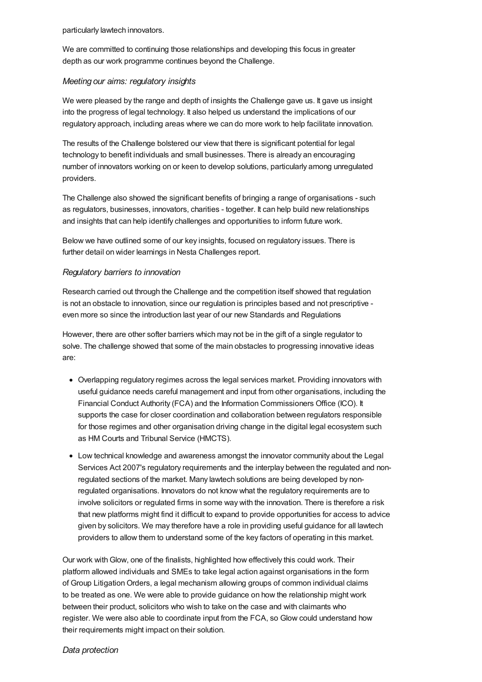particularly lawtech innovators.

We are committed to continuing those relationships and developing this focus in greater depth as our work programme continues beyond the Challenge.

#### *Meeting our aims: regulatory insights*

We were pleased by the range and depth of insights the Challenge gave us. It gave us insight into the progress of legal technology. It also helped us understand the implications of our regulatory approach, including areas where we can do more work to help facilitate innovation.

The results of the Challenge bolstered our view that there is significant potential for legal technology to benefit individuals and small businesses. There is already an encouraging number of innovators working on or keen to develop solutions, particularly among unregulated providers.

The Challenge also showed the significant benefits of bringing a range of organisations - such as regulators, businesses, innovators, charities - together. It can help build new relationships and insights that can help identify challenges and opportunities to inform future work.

Below we have outlined some of our key insights, focused on regulatory issues. There is further detail on wider learnings in Nesta Challenges report.

#### *Regulatory barriers to innovation*

Research carried out through the Challenge and the competition itself showed that regulation is not an obstacle to innovation, since our regulation is principles based and not prescriptive even more so since the introduction last year of our new Standards and Regulations

However, there are other softer barriers which may not be in the gift of a single regulator to solve. The challenge showed that some of the main obstacles to progressing innovative ideas are:

- Overlapping regulatory regimes across the legal services market. Providing innovators with useful guidance needs careful management and input from other organisations, including the Financial Conduct Authority (FCA) and the Information Commissioners Office (ICO). It supports the case for closer coordination and collaboration between regulators responsible for those regimes and other organisation driving change in the digital legal ecosystem such as HM Courts and Tribunal Service (HMCTS).
- Low technical knowledge and awareness amongst the innovator community about the Legal Services Act 2007's regulatory requirements and the interplay between the regulated and nonregulated sections of the market. Many lawtech solutions are being developed by nonregulated organisations. Innovators do not know what the regulatory requirements are to involve solicitors or regulated firms in some way with the innovation. There is therefore a risk that new platforms might find it difficult to expand to provide opportunities for access to advice given by solicitors. We may therefore have a role in providing useful guidance for all lawtech providers to allow them to understand some of the key factors of operating in this market.

Our work withGlow, one of the finalists, highlighted how effectively this could work. Their platform allowed individuals and SMEs to take legal action against organisations in the form of Group Litigation Orders, a legal mechanism allowing groups of common individual claims to be treated as one. We were able to provide guidance on how the relationship might work between their product, solicitors who wish to take on the case and with claimants who register. We were also able to coordinate input from the FCA, so Glow could understand how their requirements might impact on their solution.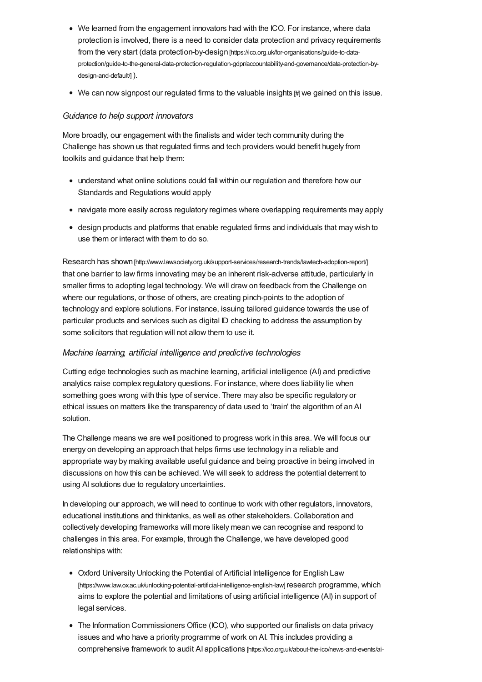- We learned from the engagement innovators had with the ICO. For instance, where data protection is involved, there is a need to consider data protection and privacy requirements from the very start (data protection-by-design [https://ico.org.uk/for-organisations/guide-to-data[protection/guide-to-the-general-data-protection-regulation-gdpr/accountability-and-governance/data-protection-by](https://ico.org.uk/for-organisations/guide-to-data-protection/guide-to-the-general-data-protection-regulation-gdpr/accountability-and-governance/data-protection-by-design-and-default/)design-and-default/l).
- We can now signpost our regulated firms to the valuable insights [#]we gained on this issue.

#### *Guidance to help support innovators*

More broadly, our engagement with the finalists and wider tech community during the Challenge has shown us that regulated firms and tech providers would benefit hugely from toolkits and guidance that help them:

- understand what online solutions could fall within our regulation and therefore how our Standards and Regulations would apply
- navigate more easily across regulatory regimes where overlapping requirements may apply
- design products and platforms that enable regulated firms and individuals that may wish to use them or interact with them to do so.

Research has shown [\[http://www.lawsociety.org.uk/support-services/research-trends/lawtech-adoption-report/\]](http://www.lawsociety.org.uk/support-services/research-trends/lawtech-adoption-report/) that one barrier to law firms innovating may be an inherent risk-adverse attitude, particularly in smaller firms to adopting legal technology. We will draw on feedback from the Challenge on where our regulations, or those of others, are creating pinch-points to the adoption of technology and explore solutions. For instance, issuing tailored guidance towards the use of particular products and services such as digital ID checking to address the assumption by some solicitors that regulation will not allow them to use it.

### *Machine learning, artificial intelligence and predictive technologies*

Cutting edge technologies such as machine learning, artificial intelligence (AI) and predictive analytics raise complex regulatory questions. For instance, where does liability lie when something goes wrong with this type of service. There may also be specific regulatory or ethical issues on matters like the transparency of data used to 'train' the algorithm of an AI solution.

The Challenge means we are well positioned to progress work in this area. We will focus our energy on developing an approach that helps firms use technology in a reliable and appropriate way by making available useful guidance and being proactive in being involved in discussions on how this can be achieved. We will seek to address the potential deterrent to using AI solutions due to regulatory uncertainties.

In developing our approach, we will need to continue to work with other regulators, innovators, educational institutions and thinktanks, as well as other stakeholders. Collaboration and collectively developing frameworks will more likely mean we can recognise and respond to challenges in this area. For example, through the Challenge, we have developed good relationships with:

- Oxford University Unlocking the Potential of Artificial Intelligence for English Law [\[https://www.law.ox.ac.uk/unlocking-potential-artificial-intelligence-english-law\]](https://www.law.ox.ac.uk/unlocking-potential-artificial-intelligence-english-law) research programme, which aims to explore the potential and limitations of using artificial intelligence (AI) in support of legal services.
- The Information Commissioners Office (ICO), who supported our finalists on data privacy issues and who have a priority programme of work on AI. This includes providing a comprehensive framework to audit AI applications [\[https://ico.org.uk/about-the-ico/news-and-events/ai-](https://ico.org.uk/about-the-ico/news-and-events/ai-blog-a-call-for-participation/)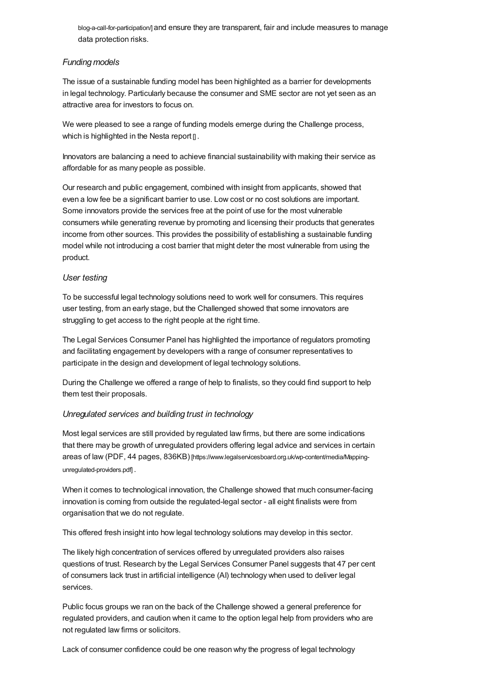blog-a-call-for-participation/] and ensure they are transparent, fair and include measures to manage data protection risks.

#### *Funding models*

The issue of a sustainable funding model has been highlighted as a barrier for developments in legal technology. Particularly because the consumer and SME sector are not yet seen as an attractive area for investors to focus on.

We were pleased to see a range of funding models emerge during the Challenge process, which is highlighted in the Nesta report [].

Innovators are balancing a need to achieve financial sustainability with making their service as affordable for as many people as possible.

Our research and public engagement, combined with insight from applicants, showed that even a low fee be a significant barrier to use. Low cost or no cost solutions are important. Some innovators provide the services free at the point of use for the most vulnerable consumers while generating revenue by promoting and licensing their products that generates income from other sources. This provides the possibility of establishing a sustainable funding model while not introducing a cost barrier that might deter the most vulnerable from using the product.

#### *User testing*

To be successful legal technology solutions need to work well for consumers. This requires user testing, from an early stage, but the Challenged showed that some innovators are struggling to get access to the right people at the right time.

The Legal Services Consumer Panel has highlighted the importance of regulators promoting and facilitating engagement by developers with a range of consumer representatives to participate in the design and development of legal technology solutions.

During the Challenge we offered a range of help to finalists, so they could find support to help them test their proposals.

#### *Unregulated services and building trust in technology*

Most legal services are still provided by regulated law firms, but there are some indications that there may be growth of unregulated providers offering legal advice and services in certain areas of law (PDF, 44 pages, 836KB) [\[https://www.legalservicesboard.org.uk/wp-content/media/Mapping](https://www.legalservicesboard.org.uk/wp-content/media/Mapping-unregulated-providers.pdf)unregulated-providers.pdf] .

When it comes to technological innovation, the Challenge showed that much consumer-facing innovation is coming from outside the regulated-legal sector - all eight finalists were from organisation that we do not regulate.

This offered fresh insight into how legal technology solutions may develop in this sector.

The likely high concentration of services offered by unregulated providers also raises questions of trust. Research by the Legal Services Consumer Panel suggests that 47 per cent of consumers lack trust in artificial intelligence (AI) technology when used to deliver legal services.

Public focus groups we ran on the back of the Challenge showed a general preference for regulated providers, and caution when it came to the option legal help from providers who are not regulated law firms or solicitors.

Lack of consumer confidence could be one reason why the progress of legal technology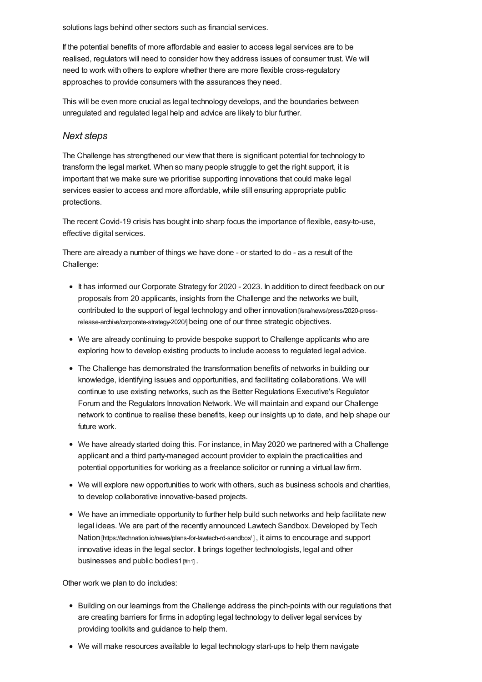solutions lags behind other sectors such as financial services.

If the potential benefits of more affordable and easier to access legal services are to be realised, regulators will need to consider how they address issues of consumer trust. We will need to work with others to explore whether there are more flexible cross-regulatory approaches to provide consumers with the assurances they need.

This will be even more crucial as legal technology develops, and the boundaries between unregulated and regulated legal help and advice are likely to blur further.

#### *Next [steps](#page-9-0)*

<span id="page-9-0"></span>The Challenge has strengthened our view that there is significant potential for technology to transform the legal market. When so many people struggle to get the right support, it is important that we make sure we prioritise supporting innovations that could make legal services easier to access and more affordable, while still ensuring appropriate public protections.

The recent Covid-19 crisis has bought into sharp focus the importance of flexible, easy-to-use, effective digital services.

There are already a number of things we have done - or started to do - as a result of the Challenge:

- It has informed our Corporate Strategy for 2020 2023. In addition to direct feedback on our proposals from 20 applicants, insights from the Challenge and the networks we built, contributed to the support of legal technology and other innovation [/sra/news/press/2020-press[release-archive/corporate-strategy-2020/\]](https://www.sra.org.uk/sra/news/press/2020-press-release-archive/corporate-strategy-2020/) being one of our three strategic objectives.
- We are already continuing to provide bespoke support to Challenge applicants who are exploring how to develop existing products to include access to regulated legal advice.
- The Challenge has demonstrated the transformation benefits of networks in building our knowledge, identifying issues and opportunities, and facilitating collaborations. We will continue to use existing networks, such as the Better Regulations Executive's Regulator Forum and the Regulators Innovation Network. We will maintain and expand our Challenge network to continue to realise these benefits, keep our insights up to date, and help shape our future work.
- We have already started doing this. For instance, in May 2020 we partnered with a Challenge applicant and a third party-managed account provider to explain the practicalities and potential opportunities for working as a freelance solicitor or running a virtual law firm.
- We will explore new opportunities to work with others, such as business schools and charities, to develop collaborative innovative-based projects.
- We have an immediate opportunity to further help build such networks and help facilitate new legal ideas. We are part of the recently announced Lawtech Sandbox. Developed by Tech Nation [https://technation.io/news/plans-for-lawtech-rd-sandbox<sup>y</sup>], it aims to encourage and support innovative ideas in the legal sector. It brings together technologists, legal and other businesses and public bodies1 [\[#n1\]](#page-10-0).

Other work we plan to do includes:

- Building on our learnings from the Challenge address the pinch-points with our regulations that are creating barriers for firms in adopting legal technology to deliver legal services by providing toolkits and guidance to help them.
- We will make resources available to legal technology start-ups to help them navigate